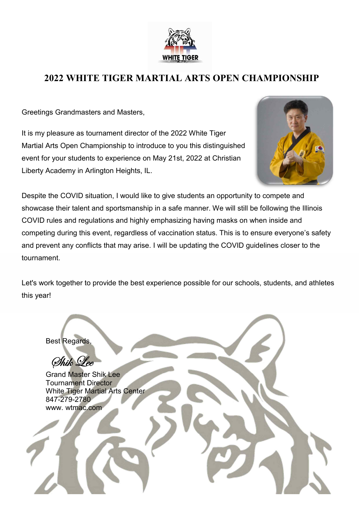

## **2022 WHITE TIGER MARTIAL ARTS OPEN CHAMPIONSHIP**

Greetings Grandmasters and Masters,

It is my pleasure as tournament director of the 2022 White Tiger Martial Arts Open Championship to introduce to you this distinguished event for your students to experience on May 21st, 2022 at Christian Liberty Academy in Arlington Heights, IL.



Despite the COVID situation, I would like to give students an opportunity to compete and showcase their talent and sportsmanship in a safe manner. We will still be following the Illinois COVID rules and regulations and highly emphasizing having masks on when inside and competing during this event, regardless of vaccination status. This is to ensure everyone's safety and prevent any conflicts that may arise. I will be updating the COVID guidelines closer to the tournament.

Let's work together to provide the best experience possible for our schools, students, and athletes this year!

Best Regards, Shik Lee Grand Master Shik Lee Tournament Director White Tiger Martial Arts Center 847-279-2780 www. wtmac.com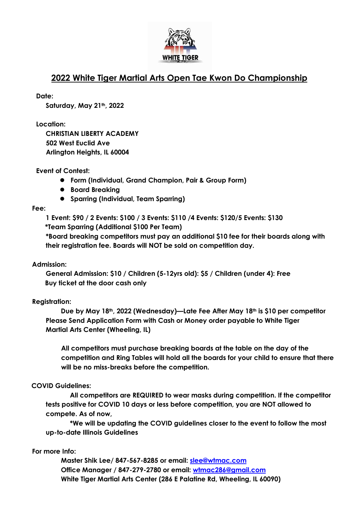

## **2022 White Tiger Martial Arts Open Tae Kwon Do Championship**

**Date:**

**Saturday, May 21th, 2022**

**Location:**

**CHRISTIAN LIBERTY ACADEMY 502 West Euclid Ave Arlington Heights, IL 60004**

#### **Event of Contest:**

- l **Form (Individual, Grand Champion, Pair & Group Form)**
- $\bullet$  Board Breaking
- l **Sparring (Individual, Team Sparring)**

#### **Fee:**

**1 Event: \$90 / 2 Events: \$100 /3 Events: \$110 /4 Events: \$120/5 Events: \$130**

 **\*Team Sparring (Additional \$100 Per Team)**

**\*Board breaking competitors must pay an additional \$10 fee for their boards along with their registration fee. Boards will NOT be sold on competition day.**

#### **Admission:**

**General Admission: \$10 / Children (5-12yrs old): \$5 / Children (under 4): Free Buy ticket at the door cash only**

## **Registration:**

**Due by May 18th, 2022 (Wednesday)—Late Fee After May 18th is \$10 per competitor Please Send Application Form with Cash or Money order payable to White Tiger Martial Arts Center (Wheeling, IL)**

**All competitors must purchase breaking boards at the table on the day of the competition and Ring Tables will hold all the boards for your child to ensure that there will be no miss-breaks before the competition.**

## **COVID Guidelines:**

**All competitors are REQUIRED to wear masks during competition. If the competitor tests positive for COVID 10 days or less before competition, you are NOT allowed to compete. As of now,** 

**\*We will be updating the COVID guidelines closer to the event to follow the most up-to-date Illinois Guidelines**

## **For more Info:**

**Master Shik Lee/ 847-567-8285 or email: slee@wtmac.com Office Manager / 847-279-2780 or email: wtmac286@gmail.com White Tiger Martial Arts Center (286 E Palatine Rd, Wheeling, IL 60090)**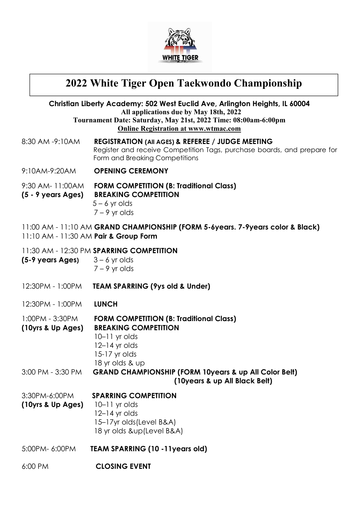

# **2022 White Tiger Open Taekwondo Championship**

|                                                          | Christian Liberty Academy: 502 West Euclid Ave, Arlington Heights, IL 60004<br>All applications due by May 18th, 2022                                                     |
|----------------------------------------------------------|---------------------------------------------------------------------------------------------------------------------------------------------------------------------------|
|                                                          | Tournament Date: Saturday, May 21st, 2022 Time: 08:00am-6:00pm<br><b>Online Registration at www.wtmac.com</b>                                                             |
| 8:30 AM -9:10AM                                          | <b>REGISTRATION (AII AGES) &amp; REFEREE / JUDGE MEETING</b><br>Register and receive Competition Tags, purchase boards, and prepare for<br>Form and Breaking Competitions |
| 9:10AM-9:20AM                                            | <b>OPENING CEREMONY</b>                                                                                                                                                   |
| 9:30 AM- 11:00AM<br>(5 - 9 years Ages)                   | <b>FORM COMPETITION (B: Traditional Class)</b><br><b>BREAKING COMPETITION</b><br>$5 - 6$ yr olds<br>$7 - 9$ yr olds                                                       |
| 11:10 AM - 11:30 AM Pair & Group Form                    | 11:00 AM - 11:10 AM GRAND CHAMPIONSHIP (FORM 5-6years. 7-9years color & Black)                                                                                            |
| $(5-9 \text{ years} \text{ Ages})$ $3-6 \text{ yr}$ olds | 11:30 AM - 12:30 PM SPARRING COMPETITION<br>$7 - 9$ yr olds                                                                                                               |
| 12:30PM - 1:00PM                                         | <b>TEAM SPARRING (9ys old &amp; Under)</b>                                                                                                                                |
| 12:30PM - 1:00PM                                         | <b>LUNCH</b>                                                                                                                                                              |
| 1:00PM - 3:30PM<br>(10yrs & Up Ages)                     | <b>FORM COMPETITION (B: Traditional Class)</b><br><b>BREAKING COMPETITION</b><br>$10-11$ yr olds<br>$12-14$ yr olds<br>15-17 yr olds<br>18 yr olds & up                   |
| 3:00 PM - 3:30 PM                                        | <b>GRAND CHAMPIONSHIP (FORM 10years &amp; up All Color Belt)</b><br>(10years & up All Black Belt)                                                                         |
| 3:30PM-6:00PM<br>(10yrs & Up Ages)                       | <b>SPARRING COMPETITION</b><br>$10-11$ yr olds<br>$12-14$ yr olds<br>15-17yr olds (Level B&A)<br>18 yr olds &up(Level B&A)                                                |
| 5:00PM-6:00PM                                            | <b>TEAM SPARRING (10 -11years old)</b>                                                                                                                                    |
| 6:00 PM                                                  | <b>CLOSING EVENT</b>                                                                                                                                                      |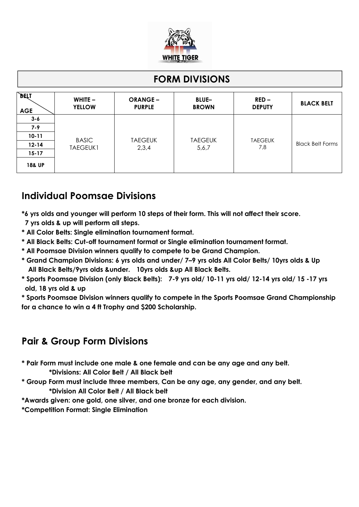

## **FORM DIVISIONS**

| <b>BELI</b><br><b>AGE</b> | WHITE $-$<br><b>YELLOW</b>      | <b>ORANGE –</b><br><b>PURPLE</b> | <b>BLUE-</b><br><b>BROWN</b> | $RED -$<br><b>DEPUTY</b> | <b>BLACK BELT</b>       |
|---------------------------|---------------------------------|----------------------------------|------------------------------|--------------------------|-------------------------|
| $3 - 6$                   | <b>BASIC</b><br><b>TAEGEUK1</b> |                                  | <b>TAEGEUK</b><br>5,6,7      | <b>TAEGEUK</b><br>7,8    | <b>Black Belt Forms</b> |
| $7 - 9$                   |                                 |                                  |                              |                          |                         |
| $10 - 11$                 |                                 |                                  |                              |                          |                         |
| $12 - 14$                 |                                 | <b>TAEGEUK</b><br>2,3,4          |                              |                          |                         |
| $15 - 17$                 |                                 |                                  |                              |                          |                         |
| <b>18&amp; UP</b>         |                                 |                                  |                              |                          |                         |

# **Individual Poomsae Divisions**

- **\*6 yrs olds and younger will perform 10 steps of their form. This will not affect their score.**
- **7 yrs olds & up will perform all steps.**
- **\* All Color Belts: Single elimination tournament format.**
- **\* All Black Belts: Cut-off tournament format or Single elimination tournament format.**
- **\* All Poomsae Division winners qualify to compete to be Grand Champion.**
- **\* Grand Champion Divisions: 6 yrs olds and under/ 7–9 yrs olds All Color Belts/ 10yrs olds & Up All Black Belts/9yrs olds &under. 10yrs olds &up All Black Belts.**
- **\* Sports Poomsae Division (only Black Belts): 7-9 yrs old/ 10-11 yrs old/ 12-14 yrs old/ 15 -17 yrs old, 18 yrs old & up**

**\* Sports Poomsae Division winners qualify to compete in the Sports Poomsae Grand Championship for a chance to win a 4 ft Trophy and \$200 Scholarship.**

## **Pair & Group Form Divisions**

- **\* Pair Form must include one male & one female and can be any age and any belt.**
	- **\*Divisions: All Color Belt / All Black belt**
- **\* Group Form must include three members, Can be any age, any gender, and any belt. \*Division All Color Belt / All Black belt**
- **\*Awards given: one gold, one silver, and one bronze for each division.**

**\*Competition Format: Single Elimination**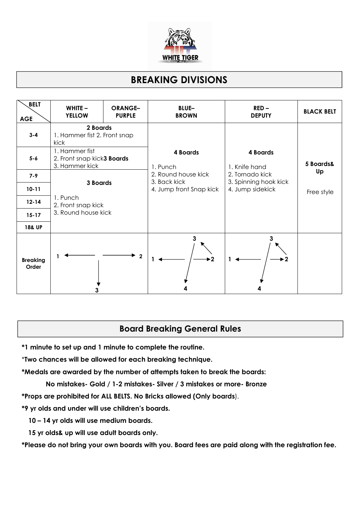

# **BREAKING DIVISIONS**

| <b>BELT</b><br><b>AGE</b> | WHITE $-$<br><b>YELLOW</b>                                                        | <b>ORANGE-</b><br><b>PURPLE</b> | <b>BLUE-</b><br><b>BROWN</b>            | $RED -$<br><b>DEPUTY</b>                                     | <b>BLACK BELT</b> |
|---------------------------|-----------------------------------------------------------------------------------|---------------------------------|-----------------------------------------|--------------------------------------------------------------|-------------------|
| $3 - 4$                   | 2 Boards<br>1. Hammer fist 2. Front snap<br>kick                                  |                                 |                                         |                                                              |                   |
| $5 - 6$                   | 1. Hammer fist<br>2. Front snap kick3 <b>Boards</b><br>3. Hammer kick<br>3 Boards |                                 | 4 Boards<br>1. Punch                    | 4 Boards<br>1. Knife hand                                    | 5 Boards&<br>Up   |
| $7 - 9$                   |                                                                                   |                                 | 2. Round house kick                     | 2. Tornado kick<br>3. Spinning hook kick<br>4. Jump sidekick |                   |
| $10 - 11$                 |                                                                                   |                                 | 3. Back kick<br>4. Jump front Snap kick |                                                              | Free style        |
| $12 - 14$                 | 1. Punch<br>2. Front snap kick                                                    |                                 |                                         |                                                              |                   |
| $15 - 17$                 | 3. Round house kick                                                               |                                 |                                         |                                                              |                   |
| <b>18&amp; UP</b>         |                                                                                   |                                 |                                         |                                                              |                   |
| <b>Breaking</b><br>Order  |                                                                                   | $\overline{2}$                  | 3<br>$\blacktriangleright$ 2            | 3<br>$\mathbf{2}$                                            |                   |

## **Board Breaking General Rules**

**\*1 minute to set up and 1 minute to complete the routine.**

\***Two chances will be allowed for each breaking technique.**

**\*Medals are awarded by the number of attempts taken to break the boards:**

**No mistakes- Gold / 1-2 mistakes- Silver / 3 mistakes or more- Bronze**

**\*Props are prohibited for ALL BELTS. No Bricks allowed (Only boards**).

**\*9 yr olds and under will use children's boards.**

**10 – 14 yr olds will use medium boards.**

**15 yr olds& up will use adult boards only.**

**\*Please do not bring your own boards with you. Board fees are paid along with the registration fee.**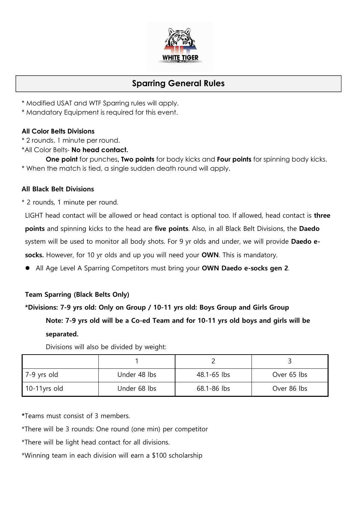

## **Sparring General Rules**

- \* Modified USAT and WTF Sparring rules will apply.
- \* Mandatory Equipment is required for this event.

#### **All Color Belts Divisions**

- \* 2 rounds, 1 minute per round.
- \*All Color Belts- **No head contact.**

**One point** for punches**, Two points** for body kicks and **Four points** for spinning body kicks. \* When the match is tied, a single sudden death round will apply.

#### **All Black Belt Divisions**

\* 2 rounds, 1 minute per round.

LIGHT head contact will be allowed or head contact is optional too. If allowed, head contact is **three points** and spinning kicks to the head are **five points**. Also, in all Black Belt Divisions, the **Daedo** system will be used to monitor all body shots. For 9 yr olds and under, we will provide **Daedo e socks.** However, for 10 yr olds and up you will need your **OWN**. This is mandatory.

l All Age Level A Sparring Competitors must bring your **OWN Daedo e-socks gen 2**.

## **Team Sparring (Black Belts Only)**

# **\*Divisions: 7-9 yrs old: Only on Group / 10-11 yrs old: Boys Group and Girls Group**

## **Note: 7-9 yrs old will be a Co-ed Team and for 10-11 yrs old boys and girls will be separated.**

Divisions will also be divided by weight:

| 7-9 yrs old  | Under 48 lbs | 48.1-65 lbs | Over 65 lbs |
|--------------|--------------|-------------|-------------|
| 10-11yrs old | Under 68 lbs | 68.1-86 lbs | Over 86 lbs |

**\***Teams must consist of 3 members.

\*There will be 3 rounds: One round (one min) per competitor

\*There will be light head contact for all divisions.

\*Winning team in each division will earn a \$100 scholarship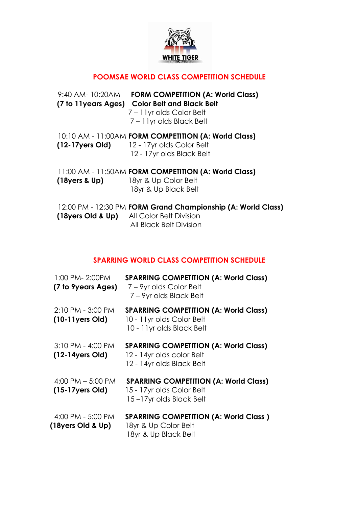

## **POOMSAE WORLD CLASS COMPETITION SCHEDULE**

 9:40 AM- 10:20AM **FORM COMPETITION (A: World Class) (7 to 11years Ages) Color Belt and Black Belt** 7 – 11yr olds Color Belt 7 – 11yr olds Black Belt 10:10 AM - 11:00AM **FORM COMPETITION (A: World Class) (12-17yers Old)** 12 - 17yr olds Color Belt 12 - 17yr olds Black Belt 11:00 AM - 11:50AM **FORM COMPETITION (A: World Class) (18yers & Up)** 18yr & Up Color Belt 18yr & Up Black Belt

 12:00 PM - 12:30 PM **FORM Grand Championship (A: World Class) (18yers Old & Up)** All Color Belt Division All Black Belt Division

## **SPARRING WORLD CLASS COMPETITION SCHEDULE**

|                   | 1:00 PM- 2:00PM<br>(7 to 9years Ages)      | <b>SPARRING COMPETITION (A: World Class)</b><br>7 – 9yr olds Color Belt<br>7 - 9yr olds Black Belt       |
|-------------------|--------------------------------------------|----------------------------------------------------------------------------------------------------------|
|                   | 2:10 PM - 3:00 PM<br>$(10-11)$ ers Old)    | <b>SPARRING COMPETITION (A: World Class)</b><br>10 - 11 yr olds Color Belt<br>10 - 11 yr olds Black Belt |
|                   | 3:10 PM - 4:00 PM<br>$(12-14yers Old)$     | <b>SPARRING COMPETITION (A: World Class)</b><br>12 - 14yr olds color Belt<br>12 - 14yr olds Black Belt   |
|                   | 4:00 PM $-$ 5:00 PM<br>$(15-17)$ yers Old) | <b>SPARRING COMPETITION (A: World Class)</b><br>15 - 17yr olds Color Belt<br>15-17yr olds Black Belt     |
| (18yers Old & Up) | 4:00 PM - 5:00 PM                          | <b>SPARRING COMPETITION (A: World Class)</b><br>18yr & Up Color Belt<br>18yr & Up Black Belt             |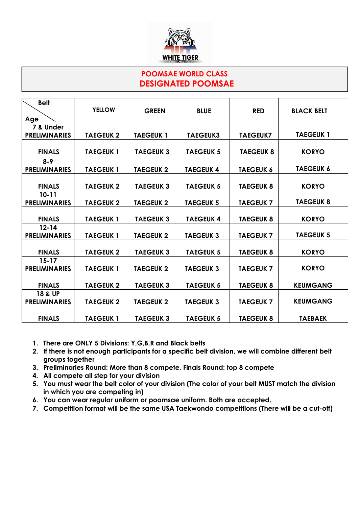

## **POOMSAE WORLD CLASS DESIGNATED POOMSAE**

| <b>BLACK BELT</b><br><b>TAEGEUK1</b> |
|--------------------------------------|
|                                      |
|                                      |
|                                      |
|                                      |
|                                      |
| <b>KORYO</b>                         |
|                                      |
| <b>TAEGEUK 6</b>                     |
|                                      |
| <b>KORYO</b>                         |
|                                      |
| <b>TAEGEUK 8</b>                     |
|                                      |
| <b>KORYO</b>                         |
|                                      |
| <b>TAEGEUK 5</b>                     |
|                                      |
| <b>KORYO</b>                         |
|                                      |
| <b>KORYO</b>                         |
|                                      |
| <b>KEUMGANG</b>                      |
|                                      |
| <b>KEUMGANG</b>                      |
|                                      |
| <b>TAEBAEK</b>                       |
|                                      |

- **1. There are ONLY 5 Divisions: Y,G,B,R and Black belts**
- **2. If there is not enough participants for a specific belt division, we will combine different belt groups together**
- **3. Preliminaries Round: More than 8 compete, Finals Round: top 8 compete**
- **4. All compete all step for your division**
- **5. You must wear the belt color of your division (The color of your belt MUST match the division in which you are competing in)**
- **6. You can wear regular uniform or poomsae uniform. Both are accepted.**
- **7. Competition format will be the same USA Taekwondo competitions (There will be a cut-off)**